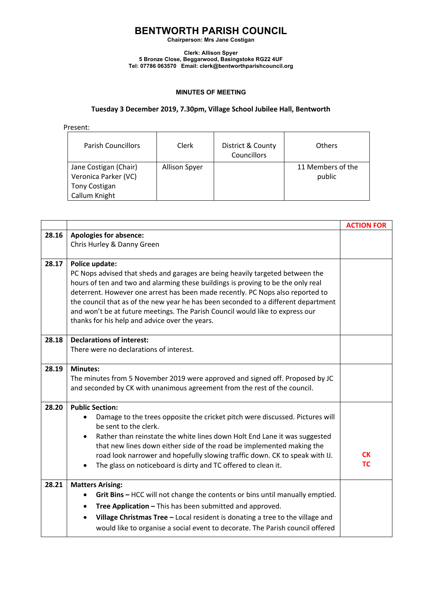### **BENTWORTH PARISH COUNCIL**

**Chairperson: Mrs Jane Costigan**

**Clerk: Allison Spyer 5 Bronze Close, Beggarwood, Basingstoke RG22 4UF Tel: 07786 063570 Email: clerk@bentworthparishcouncil.org**

#### **MINUTES OF MEETING**

### **Tuesday 3 December 2019, 7.30pm, Village School Jubilee Hall, Bentworth**

Present:

| <b>Parish Councillors</b>                                                       | Clerk                | District & County<br>Councillors | Others                      |
|---------------------------------------------------------------------------------|----------------------|----------------------------------|-----------------------------|
| Jane Costigan (Chair)<br>Veronica Parker (VC)<br>Tony Costigan<br>Callum Knight | <b>Allison Spyer</b> |                                  | 11 Members of the<br>public |

|       |                                                                                                                                                                                                                                                                                                                                                                                                                                                                                                | <b>ACTION FOR</b>      |
|-------|------------------------------------------------------------------------------------------------------------------------------------------------------------------------------------------------------------------------------------------------------------------------------------------------------------------------------------------------------------------------------------------------------------------------------------------------------------------------------------------------|------------------------|
| 28.16 | <b>Apologies for absence:</b>                                                                                                                                                                                                                                                                                                                                                                                                                                                                  |                        |
|       | Chris Hurley & Danny Green                                                                                                                                                                                                                                                                                                                                                                                                                                                                     |                        |
| 28.17 | Police update:<br>PC Nops advised that sheds and garages are being heavily targeted between the<br>hours of ten and two and alarming these buildings is proving to be the only real<br>deterrent. However one arrest has been made recently. PC Nops also reported to<br>the council that as of the new year he has been seconded to a different department<br>and won't be at future meetings. The Parish Council would like to express our<br>thanks for his help and advice over the years. |                        |
| 28.18 | <b>Declarations of interest:</b><br>There were no declarations of interest.                                                                                                                                                                                                                                                                                                                                                                                                                    |                        |
| 28.19 | <b>Minutes:</b><br>The minutes from 5 November 2019 were approved and signed off. Proposed by JC<br>and seconded by CK with unanimous agreement from the rest of the council.                                                                                                                                                                                                                                                                                                                  |                        |
| 28.20 | <b>Public Section:</b><br>Damage to the trees opposite the cricket pitch were discussed. Pictures will<br>be sent to the clerk.<br>Rather than reinstate the white lines down Holt End Lane it was suggested<br>that new lines down either side of the road be implemented making the<br>road look narrower and hopefully slowing traffic down. CK to speak with IJ.<br>The glass on noticeboard is dirty and TC offered to clean it.                                                          | <b>CK</b><br><b>TC</b> |
| 28.21 | <b>Matters Arising:</b><br>Grit Bins - HCC will not change the contents or bins until manually emptied.<br>٠<br>Tree Application - This has been submitted and approved.<br>$\bullet$<br>Village Christmas Tree - Local resident is donating a tree to the village and<br>$\bullet$<br>would like to organise a social event to decorate. The Parish council offered                                                                                                                           |                        |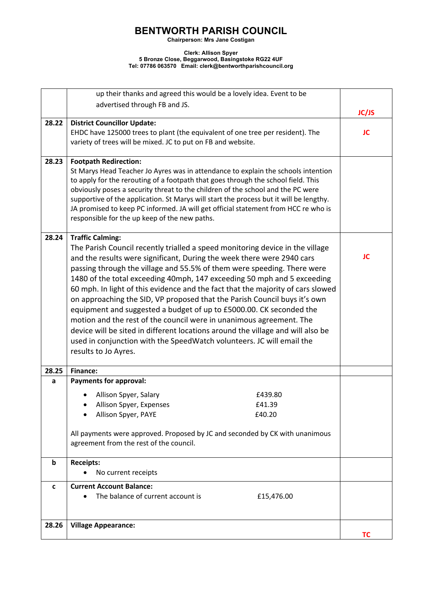# **BENTWORTH PARISH COUNCIL**

**Chairperson: Mrs Jane Costigan**

#### **Clerk: Allison Spyer 5 Bronze Close, Beggarwood, Basingstoke RG22 4UF Tel: 07786 063570 Email: clerk@bentworthparishcouncil.org**

|       | up their thanks and agreed this would be a lovely idea. Event to be                    |              |  |
|-------|----------------------------------------------------------------------------------------|--------------|--|
|       | advertised through FB and JS.                                                          |              |  |
|       |                                                                                        | <b>JC/JS</b> |  |
| 28.22 | <b>District Councillor Update:</b>                                                     |              |  |
|       | EHDC have 125000 trees to plant (the equivalent of one tree per resident). The         | JC           |  |
|       | variety of trees will be mixed. JC to put on FB and website.                           |              |  |
|       |                                                                                        |              |  |
| 28.23 | <b>Footpath Redirection:</b>                                                           |              |  |
|       | St Marys Head Teacher Jo Ayres was in attendance to explain the schools intention      |              |  |
|       | to apply for the rerouting of a footpath that goes through the school field. This      |              |  |
|       | obviously poses a security threat to the children of the school and the PC were        |              |  |
|       | supportive of the application. St Marys will start the process but it will be lengthy. |              |  |
|       | JA promised to keep PC informed. JA will get official statement from HCC re who is     |              |  |
|       | responsible for the up keep of the new paths.                                          |              |  |
| 28.24 | <b>Traffic Calming:</b>                                                                |              |  |
|       | The Parish Council recently trialled a speed monitoring device in the village          |              |  |
|       | and the results were significant, During the week there were 2940 cars                 | JC           |  |
|       | passing through the village and 55.5% of them were speeding. There were                |              |  |
|       | 1480 of the total exceeding 40mph, 147 exceeding 50 mph and 5 exceeding                |              |  |
|       | 60 mph. In light of this evidence and the fact that the majority of cars slowed        |              |  |
|       | on approaching the SID, VP proposed that the Parish Council buys it's own              |              |  |
|       | equipment and suggested a budget of up to £5000.00. CK seconded the                    |              |  |
|       | motion and the rest of the council were in unanimous agreement. The                    |              |  |
|       | device will be sited in different locations around the village and will also be        |              |  |
|       | used in conjunction with the SpeedWatch volunteers. JC will email the                  |              |  |
|       | results to Jo Ayres.                                                                   |              |  |
|       |                                                                                        |              |  |
| 28.25 | <b>Finance:</b>                                                                        |              |  |
| a     | <b>Payments for approval:</b>                                                          |              |  |
|       | Allison Spyer, Salary<br>£439.80                                                       |              |  |
|       | £41.39<br>Allison Spyer, Expenses                                                      |              |  |
|       | Allison Spyer, PAYE<br>£40.20                                                          |              |  |
|       |                                                                                        |              |  |
|       | All payments were approved. Proposed by JC and seconded by CK with unanimous           |              |  |
|       | agreement from the rest of the council.                                                |              |  |
| b     | <b>Receipts:</b>                                                                       |              |  |
|       | No current receipts                                                                    |              |  |
| C     | <b>Current Account Balance:</b>                                                        |              |  |
|       | The balance of current account is<br>£15,476.00                                        |              |  |
|       |                                                                                        |              |  |
| 28.26 | <b>Village Appearance:</b>                                                             |              |  |
|       |                                                                                        | <b>TC</b>    |  |